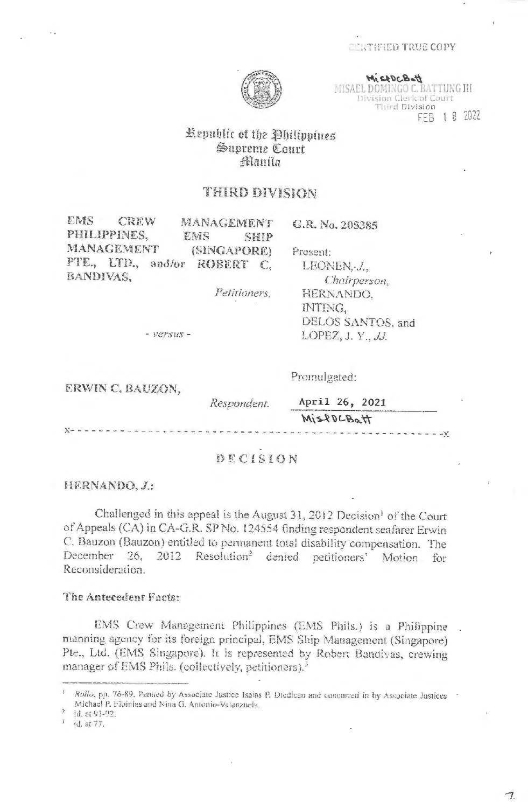# **CERTIFIED TRUE COPY**



MISSOCBOTT MISAEL DOMINGO C. BATTUNG III Division Clerk of Court Third Division FEB 1 8 2022

---------------

# Republic of the Philippines Supreme Court filanila

# THIRD DIVISION

| EMS<br>CREW<br>MANAGEMENT<br>PHILIPPINES,<br>EMS | G.R. No. 205385<br>SHIP |
|--------------------------------------------------|-------------------------|
| MANAGEMENT<br>(SINGAPORE)                        | Present:                |
| PTE., LTD., and/or ROBERT                        | C.<br>LEONEN, J.,       |
| BANDIVAS,                                        | Chairperson.            |
| Petitioners,                                     | HERNANDO.               |
|                                                  | INTING.                 |
|                                                  | DELOS SANTOS, and       |
| - versus -                                       | LOPEZ, J. Y., JJ.       |
| ERWIN C. BAUZON,                                 | Promulgated:            |
| Respondent.                                      | April 26, 2021          |
|                                                  | MisPOLBOH               |

### DECISION

HERNANDO, J.:

-------------

Challenged in this appeal is the August 31, 2012 Decision<sup>1</sup> of the Court of Appeals (CA) in CA-G.R. SP No. 124554 finding respondent seafarer Erwin C. Bauzon (Bauzon) entitled to permanent total disability compensation. The December 26, 2012 Resolution<sup>2</sup> denied petitioners' Motion for Reconsideration.

### The Antecedent Facts:

EMS Crew Management Philippines (EMS Phils.) is a Philippine manning agency for its foreign principal, EMS Ship Management (Singapore) Pte., Ltd. (EMS Singapore). It is represented by Robert Bandivas, crewing manager of EMS Phils. (collectively, petitioners).<sup>3</sup>

Id. at 91-92.

Rollo, pp. 76-89. Penned by Associate Justice Isaias P. Diedican and concurred in by Associate Justices Michael P. Elbinias and Nina G. Antonio-Valenzuela.

<sup>(</sup>d. at 77.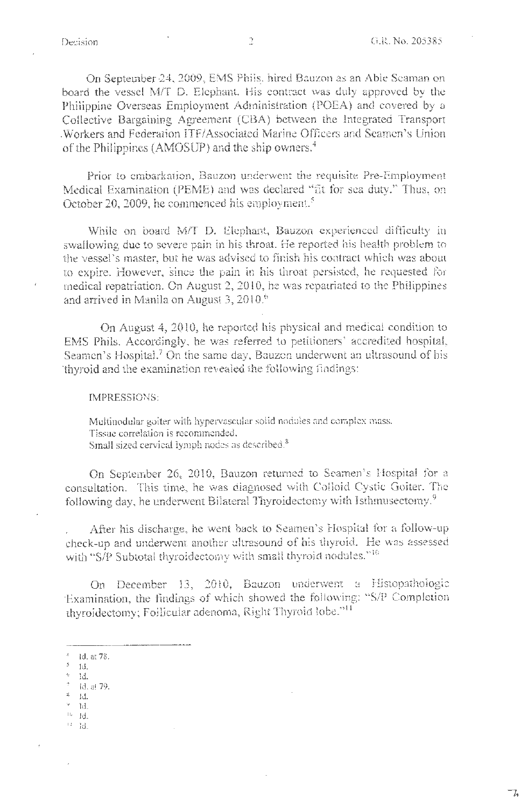On September 24, 2009, EMS Phils. hired Bauzon as an Able Seaman on . board the vessel M/T D. Elephant. His contract was duly approved by the Philippine Overseas Employment Administration (POEA) and covered by a Collective Bargaining Agreement (CBA) between the Integrated Transport . Workers and Federation ITF/Associated Marine Officers and Seamen's Union of the Philippines (AMOSUP) and the ship owners.<sup>4</sup>

Prior to embarkation, Bauzon underwent the requisite Pre-EmpJoyment Medical Examination (PEME) and was declared "fit for sea duty." Thus, on October 20, 2009, he commenced his employment.<sup>5</sup>

While on board M/T D. Elephant, Bauzon experienced difficulty in swallowing due to severe pain in his throat. He reported his health problem to the vessel's master, but he was advised to finish his coatract which was about to expire. However, since the pain in his throat persisted, he requested for medical repatriation. On August 2, 2010, he was repatriated to the Philippines and arrived in Manila on August 3, 2010.<sup>6</sup>

On August 4, 2010, he reported his physical and medical condition to EMS Phils. Accordingly, he was referred to petitioners' accredited hospital, Seamen's Hospital.<sup>7</sup> On the same day, Bauzon underwent an ultrasound of his thyroid and the examination revealed the following findings:

IMPRESSIONS:

Muitinodular goiter with hypervascular solid noduies and coraplex mass. Tissue correlation js recommended. Small sized cervical lymph nodes as described.<sup>8</sup>

On September 26, 2010, Bauzon returned to Seamen's Hospital for a consultation. This time, he was diagnosed with Colloid Cystic Goiter. The following day, he underwent Bilateral Thyroidectomy with Isthmusectomy.<sup>9</sup>

After his discharge, he went back to Seamen's Hospital for a follow-up check-up and underwent another ultrasound of his thyroid. He was assessed with "S/P Subtotal thyroidectomy with small thyroid nodules." $^{16}$ 

On December 13, 2010, Bauzon underwent a Histopathologic Examination, the findings of which showed the following: "S/P Completion thyroidectomy; Follicular adenoma, Right Thyroid lobe."<sup>11</sup>

- $_{\rm e}$   $\rm H^{\prime\prime}$
- $7 id$ . at 79.  $^8-$  id.
- 9 Id.
- IU ld.
- II Id.

<sup>&</sup>lt;sup>4</sup> **id.** at 78.

*<sup>5</sup>*Id.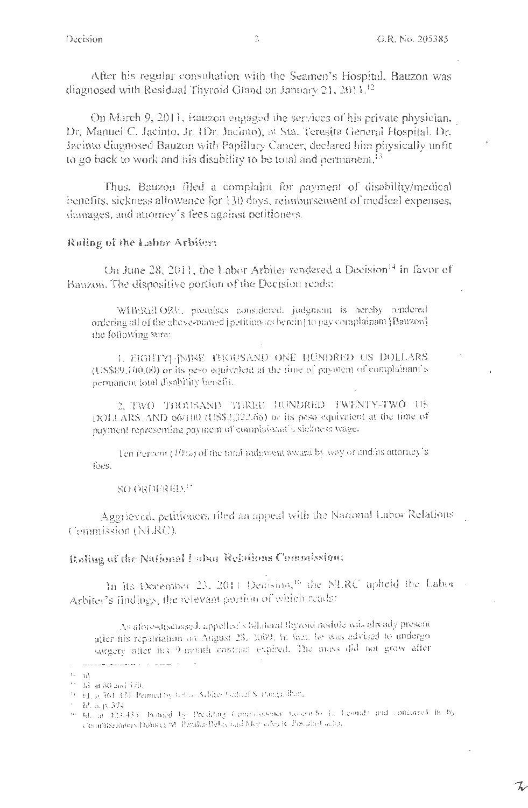After his regular consultation with the Seamen's Hospital, Bauzon was diagnosed with Residual Thyroid Gland on January 21,  $2011<sup>12</sup>$ 

On March 9, 2011, Bauzon engaged the services of his private physician, Dr. Manuel C. Jacinto, Jr. (Dr. Jacinto), at Sta. Teresita General Hospital, Dr. Jacinto diagnosed Bauzon with Papillary Cancer, declared him physically unfit to go back to work and his disability to be total and permanent.<sup>13</sup>

Thus, Bauzon filed a complaint for payment of disability/medical benefits, sickness allowance for 130 days, reimbursement of medical expenses, damages, and attorney's fees against petitioners.

## Ruling of the Labor Arbiter:

On June 28, 2011, the Labor Arbiter rendered a Decision<sup>14</sup> in favor of Bauzon. The dispositive portion of the Decision reads:

WHEREFORE, premises considered, judgment is hereby rendered ordering all of the above-named (petitioners berein) to pay complainant (Bauzon). the following sum:

L EIGHTY |- [NINE THOUSAND ONE HUNDRED US DOLLARS (US\$89,160.00) or its peso equivalent at the time of payment of complainant's permanent total disability benefit.

2. TWO THOUSAND THREE HUNDRED TWENTY-TWO US DOLLARS AND 66/100 (US\$2,322.66) or its peso equivalent at the time of payment representing payment of complainant's sickness wage.

Ten Percent (10%) of the total judgment award by way of and/as attorney's fees.

**SO ORDERELL!** 

Aggrieved, petitioners filed an appeal with the National Labor Relations Commission (NLRC).

# Raling of the National Labor Relations Commission:

In its December 23, 2011 Decision,<sup>16</sup> the NLRC upheld the Labor-Arbiter's findings, the relevant portion of which reads:

As afore-discussed, appellee's 5llateral flyroid nodule was already presentafter his repatriation on August 28, 2009, In fact, he was advised to undergo surgery after his 9-month contract expired. The mass did not grow after

المستشير المنابذ والمستنقر المستحدث  $\sim$  $\mathbb{H}^{n-1}$ 

 $\%$  E at 30 and 370.

<sup>&</sup>lt;sup>16</sup> Ed. at 361-37d. Penned by Echan Arbiter Suddial S. Pamphilban,

 $^{\circ}$  – R, ar p. 374.

in the at 423-435. Penned by Presiding Comprissioner (november 1, Leonado and concurred in by Commissioners Dolores M. Poralta-Delevated Memodes R. Postalis-Cocap.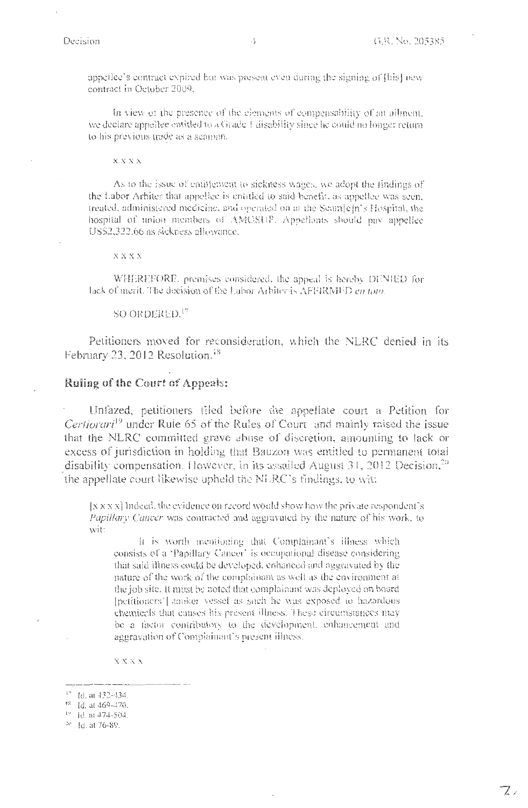appellee's contract expired but was present even during the signing of [bis] new contract in October 2009.

In view of the presence of the clements of compensability of an ailment, we declare appellee entitled to a Grade 1 disability since he could no longer return. to his previous trade as a scaman.

**XXXX** 

As to the issue of entitlement to sickness wages, we adopt the findings of the Labor Arbiter that appellee is entitled to said benefit, as appellee was seen, treated, administered medicine, and operated on at the Scam[e]n's Hospital, the hospital of union members of AMOSUP. Appellants should pay appellee US\$2,322.66 as sickness allowance.

 $\mathbf{X} \mathbf{X} \mathbf{X} \mathbf{X}$ 

WHEREFORE, premises considered, the appeal is hereby DENIED for lack of merit. The decision of the Labor Arbiter is AFFIRMED en toto.

SO ORDERED.<sup>17</sup>

Petitioners moved for reconsideration, which the NLRC denied in its February 23, 2012 Resolution.<sup>18</sup>

### Ruling of the Court of Appeals:

Unfazed, petitioners filed before the appellate court a Petition for Certiorari<sup>19</sup> under Rule 65 of the Rules of Court and mainly raised the issue that the NLRC committed grave abuse of discretion, amounting to lack or excess of jurisdiction in holding that Bauzon was entitled to permanent total disability compensation. However, in its assailed August  $31$ ,  $2012$  Decision,<sup>20</sup> the appellate court likewise upheld the NLRC's findings, to wit:

[X X X X] Indeed, the evidence on record would show how the private respondent's *Papillary Cancer* was contracted and aggravated by the nature of his work, to wit:

It is worth mentioning that Complainant's illness which consists of a 'Papillary Cancer' is occupational disease considering that said illness could be developed, enhanced and aggravated by the nature of the work of the complainant as well as the environment at the job site. It must be noted that complainant was deployed on board [petitioners'] tanker vessel as such he was exposed to hazardous chemicals that causes his present illness. These circumstances may be a factor contributory to the development, enhancement and aggravation of Complainant's present illness.

 $\mathbf{X} \mathbf{X} \mathbf{X} \mathbf{X}$ 

<sup>&</sup>lt;sup>17</sup> Id. at 432-434.

<sup>&</sup>lt;sup>48</sup> Id. at 469-470.

<sup>&</sup>lt;sup>19</sup> id. at 474-504.

<sup>&</sup>lt;sup>20</sup> Id. at 76-89.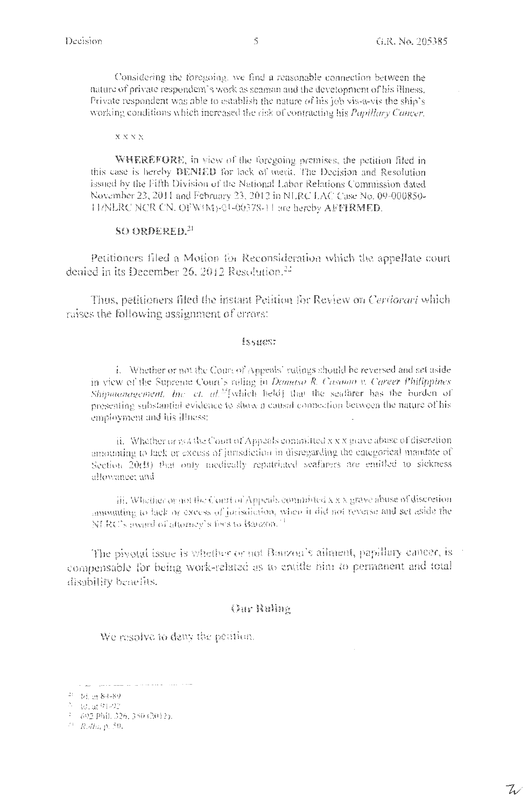Considering the foregoing, we find a reasonable connection between the nature of private respondent's work as seaman and the development of his illness. Private respondent was able to establish the nature of his job vis-a-vis the ship's working conditions which increased the risk of contracting his Papillary Cancer.

#### $\mathbf{X} \mathbf{X} \mathbf{X} \mathbf{X}$

**WHEREFORE**, in view of the foregoing premises, the petition filed in this case is hereby DENIED for lack of merit. The Decision and Resolution issued by the Fifth Division of the National Labor Relations Commission dated November 23, 2011 and February 23, 2012 in NLRC LAC Case No. 09-000850-H/NLRC NCR CN, OFW(M)-01-06378-11 are hereby AFFIRMED.

## SO ORDERED.<sup>21</sup>

Petitioners filed a Motion for Reconsideration which the appellate court denied in its December 26, 2012 Resolution.<sup>22</sup>

Thus, petitioners filed the instant Petition for Review on Certiorari which raises the following assignment of errors:

### issues:

i. Whether or not the Court of Appeals' rulings should be reversed and set aside in view of the Supreme Court's roling in Damaso R. Casomo v. Career Philippines Shipmanagement, Inc. et. al.<sup>33</sup>[which held] that the seafarer has the burden of presenting substantial evidence to show a causal connection between the nature of his employment and his illness;

ii. Whether or not the Court of Appeals committed x x x grave abuse of discretion. amounting to lack or excess of jurisdiction in disregarding the categorical mandate of Section 20(B) that only medically repatriated seafarers are emitted to sickness allowance: and

iii. Whether or not the Court of Appeals committed x x x grave abuse of discretion. amounting to fack or excess of jorisdiction, when it did not reverse and set aside the NLRC's award of attorney's fees to Banzon.<sup>71</sup>

The pivotal issue is whether or not Bauzon's ailment, papillary cancer, is compensable for being work-related as to entitle him to permanent and total disability benefits.

### **Our Ruling**

We resolve to deny the petition.

<sup>&</sup>lt;sup>21</sup> 1d, in 84-89.

수 : 점, df 이 라인

<sup>&</sup>lt;sup>2</sup> 692 Phil. 326, 356 (2012).

 $^{24}$  Rolla, p. 50.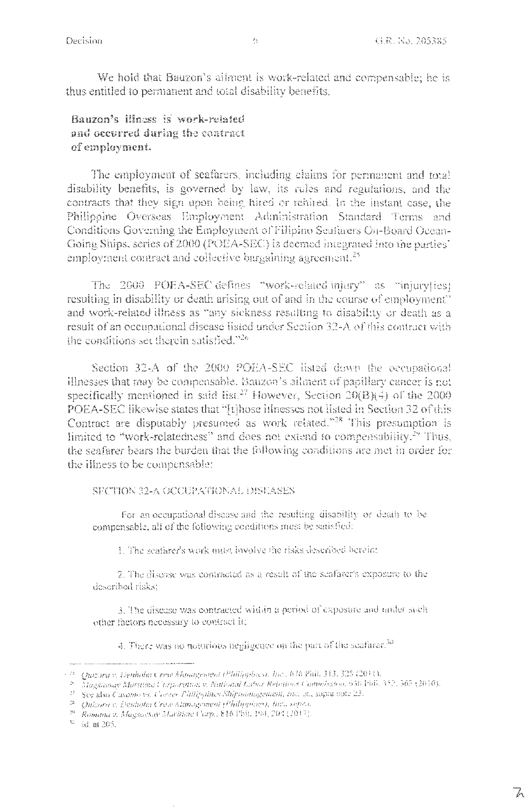We hold that Bauzon's ailment is work-related and compensable; he is thus entitled to permanent and total disability benefits.

Bauzon's illness is work-related and occurred during the contract of employment.

The employment of seafarers, including claims for permanent and total disability benefits, is governed by law, its rules and regulations, and the contracts that they sign upon being hired or rehired. In the instant case, the Philippine Overseas Employment Administration Standard Terms and Conditions Governing the Employment of Filipino Seafarers On-Board Ocean-Going Ships, series of 2000 (POEA-SEC) is deemed integrated into the parties employment contract and collective bargaining agreement.<sup>25</sup>

The 2000 POEA-SEC defines "work-related injury" as "injury[ies] resulting in disability or death arising out of and in the course of employment" and work-related illness as "any sickness resulting to disability or death as a result of an occupational disease listed under Section 32-A of this contract with the conditions set therein satisfied,"26

Section 32-A of the 2000 POEA-SEC listed down the occupational illnesses that may be compensable. Bauzon's attinent of papillary cancer is not specifically mentioned in said list.<sup>27</sup> However, Section  $20(B)(4)$  of the 2000 POEA-SEC likewise states that "[t]hose itlnesses not listed in Section 32 of this Contract are disputably presumed as work related."<sup>28</sup> This presumption is limited to "work-relatedness" and does not extend to compensability.<sup>29</sup> Thus, the seafarer bears the burden that the following conditions are met in order for the illness to be compensable:

### SFCTION 32-A OCCUPATIONAL DISEASES

For an occupational disease and the resulting disability or death to be compensable, all of the following conditions must be satisfied:

1. The seafarer's work must involve the risks described bereint.

2. The disease was contracted as a result of the seafarer's exposure to the described risks:

3. The disease was contracted within a period of exposure and under such other factors necessary to contract it;

4. There was no notorious negligence on the part of the seafarer.<sup>30</sup>

 $\%$  –id. at 205.

<sup>&</sup>lt;sup>- 25</sup> - Quizora v. Denholm Crew Management (<sup>Dhill</sup>ipplnes), Inc., 676 Phil. 343, 325 (2014).<br><sup>- 26</sup> - Magsawsay Maritime Corporation v. National Labor Relations Commission, 656 Fhil. 352, 565 (2010).

<sup>&</sup>lt;sup>27</sup> See also Casamovs, Corner Phillippines Shirmanogement, inc. at., supra note 23.

<sup>&</sup>lt;sup>18</sup> Quizora v. Denhotat Cress Management (Philippines), Inc., super.

<sup>&</sup>lt;sup>29</sup> Romana v. Magsavsay Maritime Cerp., 816 Phil. 194, 201 (2017).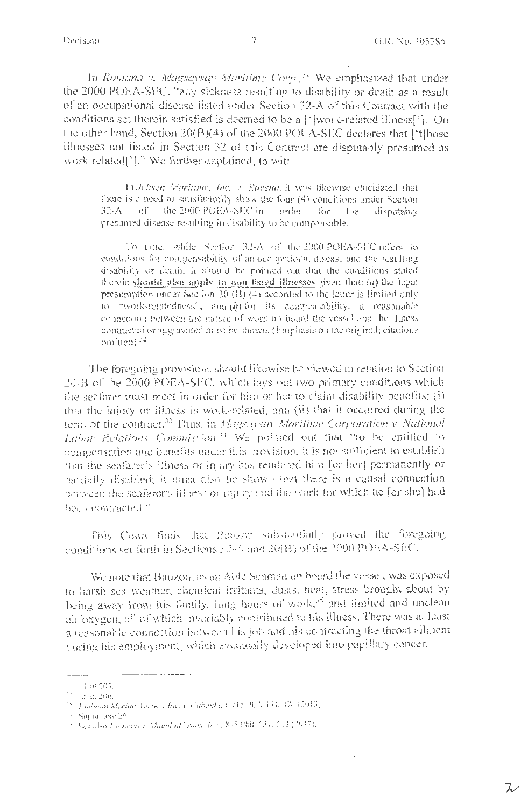Decision

W

In Romana v. Magsaysay Maritime Corp.<sup>31</sup> We emphasized that under the 2000 POEA-SEC, "any sickness resulting to disability or death as a result of an occupational disease listed under Section 32-A of this Contract with the conditions set therein satisfied is deemed to be a [']work-related illness[']. On the other hand, Section  $20(B)(4)$  of the 2000 POEA-SEC declares that ['t]hose illnesses not listed in Section 32 of this Contract are disputably presumed as work related]'1." We further explained, to wit:

In Jehsen Maritime, Inc. v. Ravena, it was tikewise clucidated that there is a need to satisfactorily show the four (4) conditions under Section 32-A of the 2000 POEA-SEC in order  $500$ – the disoutably presumed disease resulting in disability to be compensable.

To note, while Section 32-A of the 2000 POEA-SEC refers to conditions for compensability of an occupational disease and the resulting disability or death, it should be pointed out that the conditions stated therein should also apply to non-listed illnesses given that:  $(a)$  the legal presumption under Section 20 (B) (4) accorded to the latter is limited only to "work-relatedness"; and  $(\hat{\theta})$  for its compensability, a reasonable connection between the nature of work on board the vessel and the illness contracted or aggravated must be shown. (Fimphasis on the original; citations omitted). $^{32}$ 

The foregoing provisions should likewise be viewed in relation to Section 20-B of the 2000 POEA-SEC, which lays out two primary conditions which the seafarer must meet in order for him or her to claim disability benefits: (i) that the injury or illness is work-related, and (ii) that it occurred during the term of the contract.<sup>33</sup> Thus, in Magsavsay Maritime Corporation v. National Labor Relations Commission.<sup>34</sup> We pointed out that "to be entitled to compensation and benefits under this provision, it is not sufficient to establish that the seafarer's itlness or injury bas rendered him [or her] permanently or partially disabled; it must also be shown that there is a causal connection between the seafarer's illness or injury and the work for which he [or she] had been contracted."

This Court finds that Banzon substantially proved the foregoing conditions set forth in Sections 32-A and 20(B) of the 2000 POEA-SEC.

We note that Bauzon, as an Able Seaman on board the vessel, was exposed to harsh sea weather, chemical irritants, dusts, heat, stress brought about by being away from his family, long hours of work," and limited and unclean air/oxygen, all of which invariably contributed to his illness. There was at least a reasonable connection between his job and his contracting the throat ailment during his employment, which eventually developed into papillary cancer.

<sup>&</sup>lt;sup>31</sup> 44, at 203.

<sup>&</sup>lt;sup>33</sup> Ad at 206.<br><sup>33</sup> *Pullaian Martine Agency, Inc. v. Cabauban,* 715 Phil, 454, 374 (2013).

<sup>16</sup> Supra note 26

<sup>2.</sup> See also Lie Leon v. Maunted Troms, Inc., 805 Phil. 531, 532 (2017).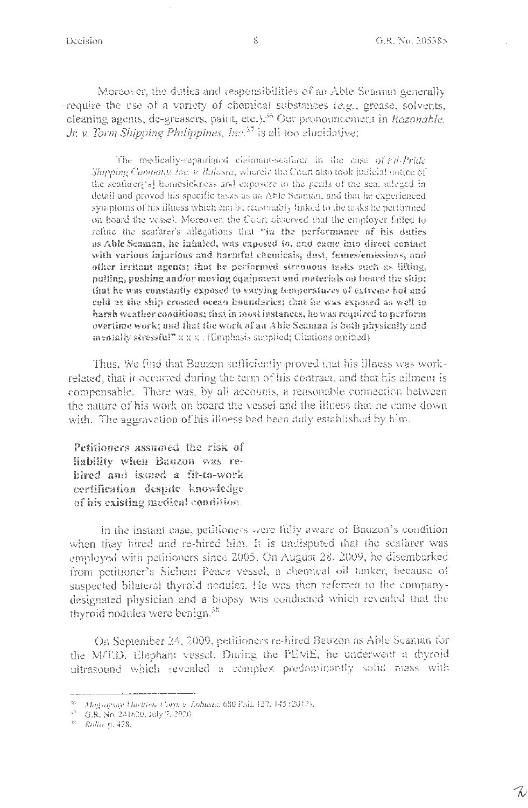Moreover, the duties and responsibilities of an Able Seaman generally require the use of a variety of chemical substances (e.g., grease, solvents, cleaning agents, de-greasers, paint, etc.).<sup>36</sup> Our pronouncement in Razonable, Jr. v. Torm Shipping Philippines, Inc.<sup>37</sup> is all too elucidative:

The medically-repairinted claimant-seafurer in the case of Fif-Pride Shipping Company, Inc. v. Balasta, wherein the Court also took judicial notice of the seafarer('s) homesickness and exposure to the perits of the sca, alleged in detail and proved his specific tasks as an Able Seaman, and that he experienced symptoms of his illness which can be reasonably linked to the tasks he performed on board the vessel. Moreover, the Court observed that the employer failed to refute the seafarer's allegations that "in the performance of his duties as Able Seaman, he inhaled, was exposed to, and came into direct contact with various injurious and harmful eltemicals, dust, fumes/emissions, and other irritant agents; that he performed streauous tasks such as lifting, pulling, pushing and/or moving equipment and materials on board the ship; that he was constantly exposed to varying temperatures of extreme hot and celd as the ship crossed ocean boundaries; that he was exposed as well to harsh weather coaditions; that in most instances, he was required to perform evertime work; and that the work of an Able Seaman is both physically and mentally stressful" $x x x$ . (Emphasis supplied; Citations omitted)

Thus, We find that Bauzon sufficiently proved that his illness was workrelated, that it occurred during the term of his contract, and that his allment is compensable. There was, by all accounts, a reasonable connection between the nature of his work on board the vessel and the illness that he came down with. The aggravation of his illness had been duly established by him.

Petitioners assumed the risk of Hability when Bauzon was rehired and issued a fit-to-work certification despite knowledge of his existing medical condition.

In the instant case, petitioners were fully aware of Bauzon's condition when they hired and re-hired him. It is undisputed that the seafarer was employed with petitioners since 2005. On August 28, 2009, he disembarked from petitioner's Sichem Peace vessel, a chemical oil tanker, because of suspected bilateral thyroid nodules. He was then referred to the companydesignated physician and a biopsy was conducted which revealed that the thyroid nodules were benign.<sup>38</sup>

On September 24, 2009, petitioners re-hired Bauzon as Able Seaman for the M/T.D. Elephant vessel. During the PEME, he underwent a thyroid ultrasound which revealed a complex predominantly solid mass with

<sup>36</sup> Magsaysay Maritime Corp. v. Lobusta, 680 Phil. 137, 145 (2012).

<sup>37</sup> G.R. No. 241620, July 7, 2020.

<sup>&</sup>lt;sup>38</sup> Rolla, p. 428.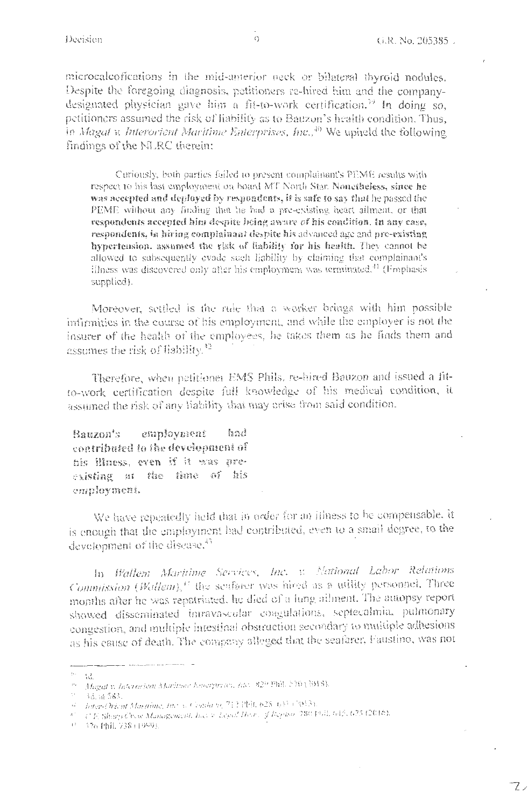$\mathcal{I}$ 

microcalcofications in the mid-anterior neck or bilateral thyroid nodules. Despite the foregoing diagnosis, petitioners re-hired him and the companydesignated physician gave him a fit-to-work certification.<sup>39</sup> In doing so, petitioners assumed the risk of liability as to Bauzon's health condition. Thus, in Magat v. Interorient Maritime Enterprises, Inc.,<sup>40</sup> We upheld the following findings of the NLRC therein:

Curiously, both parties failed to present complainant's PEME results with respect to his last employment on board MT North Star. Nonetheless, since he was accepted and deployed by respondents, it is safe to say that he passed the PEME without any finding that he had a pre-existing heart ailment, or that respondents accepted him despite being aware of his condition. In any case, respondents, in hiring complainant despite his advanced age and pre-existing hypertension, assumed the risk of liability for his health. They cannot be allowed to subsequently evade such liability by claiming that complainant's illness was discovered only after his employment was terminated.<sup>41</sup> (Fmphasis supplied).

Moreover, settled is the ride that a worker brings with him possible infirmities in the course of his employment, and while the employer is not the insurer of the health of the employees, he takes them as he finds them and assumes the risk of liability.<sup>42</sup>

Therefore, when petitioner EMS Phils, re-hired Bauzon and issued a fitto-work certification despite full knowledge of his medical condition, it assumed the risk of any liability that may arise from said condition.

employment had Bauzon's contributed to the development of his illness, even if it was preexisting at the time of his employment.

We have repeatedly held that in order for an illness to be compensable, it is enough that the employment had contributed, even to a small degree, to the development of the disease.<sup>43</sup>

In Wallem Maritime Services, Inc. v. National Labor Relations Commission (Wallem),<sup>11</sup> the senfarer was hired as a utility personnel. Three months after he was repatriated, he died of a lung ailment. The amopsy report showed disseminated intravascular coagulations, septecalmia, pulmonary congestion, and multiple intestinal obstruction secondary to multiple adhesions as his cause of death. The company alleged that the seafarer, Faustino, was not

 $w=\Omega$ 

<sup>&</sup>lt;sup>99</sup> Magat v. Interession Maritime Encorprises, Inc. 829 Phil, 570 (3018).

 $\sim 1$ 1d. at 583.

<sup>&</sup>lt;sup>12</sup> Inter-Orient Macaine, Inc. v. Conda vs. 712 Pbl), 628-643 (2013).

<sup>47</sup> C.F. Sharp Crew Management, Inc. 9. Legal Heart, of Repusar 780 Pbll, 645, 675 (2016).

サーマ26 Phil. 738 (1999).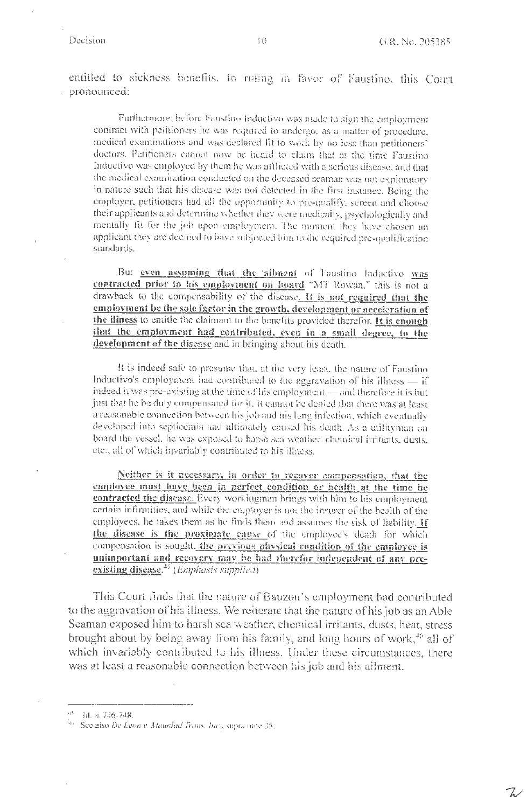Z

entitled to sickness benefits. In ruling in favor of Faustino, this Court pronounced: l,

Furthermore, before Faustino Inductivo was made to sign the employment contract with petitioners he was required to undergo, as a matter of procedure, medical examinations and was declared fit to work by no less than petitioners' doctors. Petitioners cannot now be heard to claim that at the time Faustino Inductive was employed by them he was afflicted with a serious disease, and that the medical examination conducted on the deceased seaman was not exploratory in nature such that his disease was not detected in the first instance. Being the employer, petitioners had all the opportunity to pre-qualify, screen and choose their applicants and determine whether they were medically, psychologically and mentally fit for the job upon employmera. The moment they have chosen an applicant they are decaned to have subjected him to the required pre-qualification standards.

But even assuming that the allment of Faustino Inductivo was contracted prior to his employment on linard "MT Rowan," this is not a drawback to the compensability of the disease. It is not required that the employment be the sole factor in the growth, development or acceleration of the illness to entitle the claimant to the benefits provided therefor. It is enough that the employment had contributed, even in a small degree, to the development of the disease and in bringing about his death.

It is indeed safe to presume that, at the very least, the nature of Faustino Inductivo's employment had contributed to the aggravation of his illness - if indeed it was pre-existing at the time of his employment - and therefore it is but just that he be duly compensated for it, it cannot be denied that there was at least a reasonable connection between his job and his lung infection, which eventually developed into septicemia and ultimately caused his death. As a utilityman on board the vessel, he was exposed to harsh sea weather, chemical irritants, dusts, etc., all of which invariably contributed to his illness.

Neither is it necessary, in order to recover compensation, that the employee must have been in perfect condition or health at the time he contracted the disease. Every workingman brings with him to his employment certain infirmities, and while the emptoyer is not the insurer of the bealth of the employees, he takes them as he finds them and assumes the risk of liability. If the disease is the proximate cause of the employee's death for which compensation is sought, the previous physical condition of the employee is unimportant and recovery may be had therefor independent of any preexisting disease. $45$  (*Emphasis supplied*)

This Court finds that the nature of Bauzon's employment had contributed to the aggravation of his illness. We reiterate that the nature of his job as an Able Seaman exposed him to harsh sea weather, chemical irritants, dusts, heat, stress brought about by being away from his family, and long hours of work,<sup>46</sup> all of which invariably contributed to his illness. Under these circumstances, there was at least a reasonable connection between his job and his allment.

 $45$  Id. at 746-748.

<sup>46</sup> See also De Leon v. Maurilad Trans. Inc., supra note 25.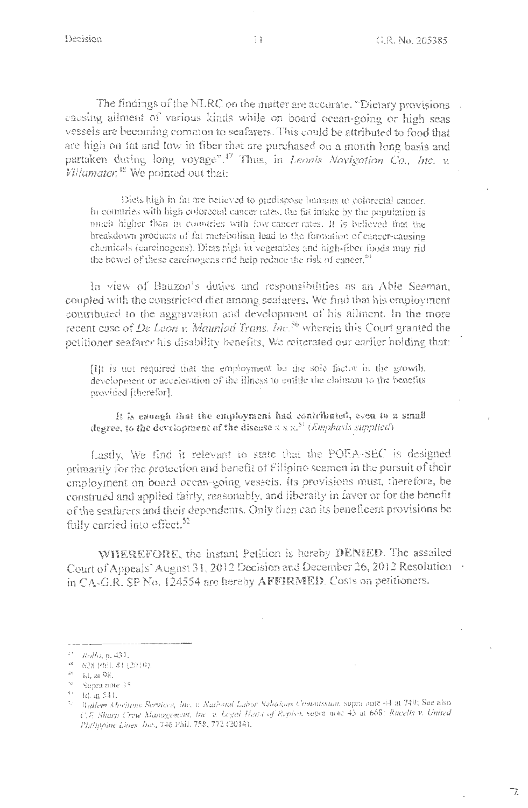7.

The findings of the NLRC on the matter are accarate. "Dietary provisions . causing allment of various kinds while on board ocean-going or high seas vessels are becoming common to seafarers. This could be attributed to food that are high on fat and low in fiber that are purchased on a month long basis and partaken during long voyage".<sup>47</sup> Thus, in Leonis Navigation Co., Inc. v. Villamater,<sup>18</sup> We pointed out that:

Diets high in fat are believed to predispose humans to colorectal cancer. In countries with high colorectal cancer rates, the fat intake by the population is much higher than in countries with low-cancer-rates. It is believed that the breakdown products of fat metabolism lead to the formation of cancer-causing chemicals (carcinogens). Diets high in vegetables and high-fiber foods may rid the bowel of these carcinogens and help reduce the risk of cancer.<sup>40</sup>

In view of Bauzon's duties and responsibilities as an Able Seaman, coupled with the constricted diet among seafarers. We find that his employment contributed to the aggravation and development of his ailment. In the more recent case of *De Leon v. Maurilad Trans, Inc.*<sup>50</sup> wherein this Court granted the petitioner seafarer his disability benefits. We reiterated our earlier holding that:

[I]t is not required that the employment be the sole factor in the growth, development or acceleration of the illness to entitle the claimant to the benefits provided [therefor].

It is enough that the employment had contributed, even to a small degree, to the development of the disease  $x \times x^{31}$  (Emphasis supplied)

Lastly, We find it relevant to state that the POEA-SEC is designed primarily for the protection and benefit of Filipino seamen in the pursuit of their employment on board ocean-going vessels. Its provisions must, therefore, be construed and applied fairly, reasonably, and liberally in favor or for the benefit of the seafarers and their dependents. Only then can its beneficent provisions be fully carried into effect.<sup>52</sup>

WHEREFORE, the instant Petition is hereby DENIED. The assailed Court of Appeals' August 31, 2012 Decision and December 26, 2012 Resolution . in CA-G.R. SP No. 124554 are hereby AFFIRMED. Costs on petitioners.

<sup>&</sup>lt;sup>17</sup> Rollo, p. 431.

<sup>&</sup>lt;sup>48</sup> 628 Phil. 81 (2010).

 $\Delta^{\alpha}$  ). - Ki, at 98.

<sup>&</sup>lt;sup>50</sup> Supra note 35

 $\frac{1}{2}$  1d. at 541.

<sup>&</sup>lt;sup>52</sup> Rallem Meritime Services, Inc. v. National Labor Relations Commission, supra pote 44 at 749; See also C.F. Sharp Crew Management, Inc. v. Legal Hans of Repiso, sopra note 43 at 668: Racells v. United Philippine Lines. Inc., 746 Phil. 758, 772 (2014).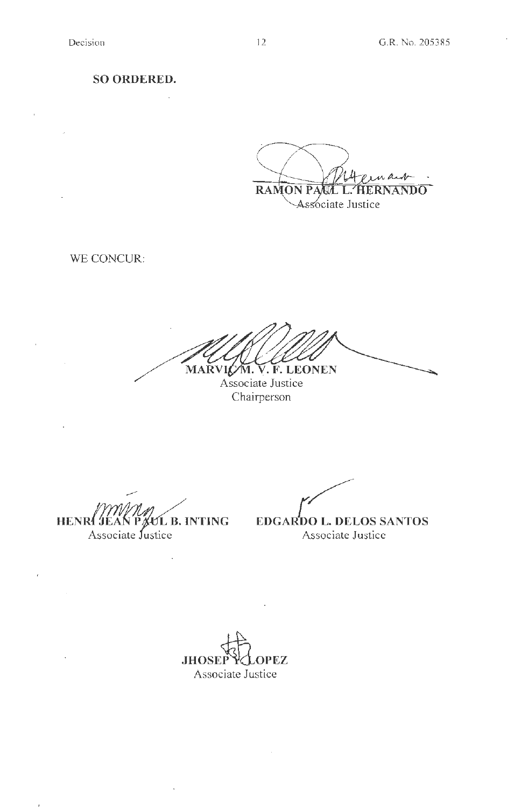**SO ORDERED.** 

 $\mathbb{Z}$ 

RAMON PAUL L' **HERNANDO** Associate Justice

WE CONCUR:

MARVIC M. V. F. LEONEN

Associate Justice Chairperson

*A* **JÉAN PAUL B. INTING<br>Associate Justice HENRI** 

 $\bar{t}$ 

 $\mathcal{A}^{\mathcal{A}}$ 

l,

/ **EDGARDO L. DELOS SANTOS** Associate Justice

**JHOSEP PCLOPEZ** Associate Justice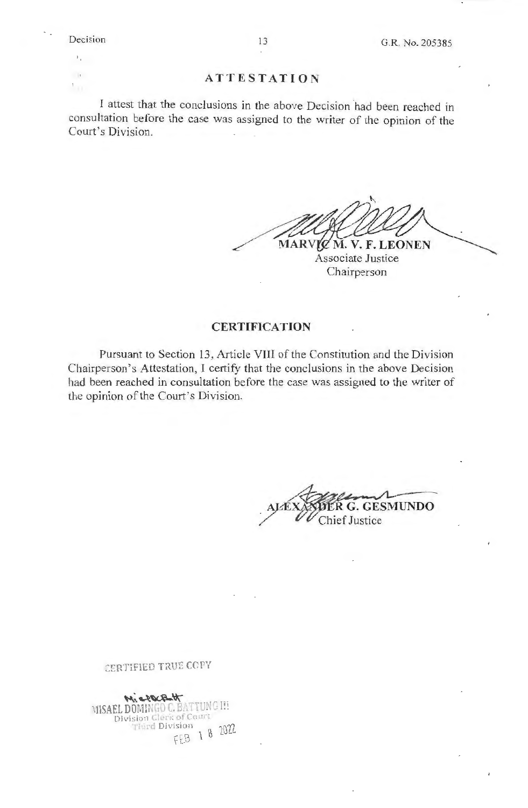$\mathbf{1}_{\mathbf{1}_{\mathbf{1}}}$  $\mathbb{R}^3$ 

 $\mathbf{F}$ 

### **ATTESTATION**

I attest that the conclusions in the above Decision had been reached in consultation before the case was assigned to the writer of the opinion of the Court's Division.

MARVIC M. V. F. LEONEN Associate Justice

Chairperson

## **CERTIFICATION**

Pursuant to Section 13, Article VIII of the Constitution and the Division Chairperson's Attestation, I certify that the conclusions in the above Decision had been reached in consultation before the case was assigned to the writer of the opinion of the Court's Division.

**ESMUNDO** hief Justice

# CERTIFIED TRUE COPY

Michaelt MISAEL DOMINGO C. BATTUNG III Division Clerk of Court Third Division 18 2022 FEB